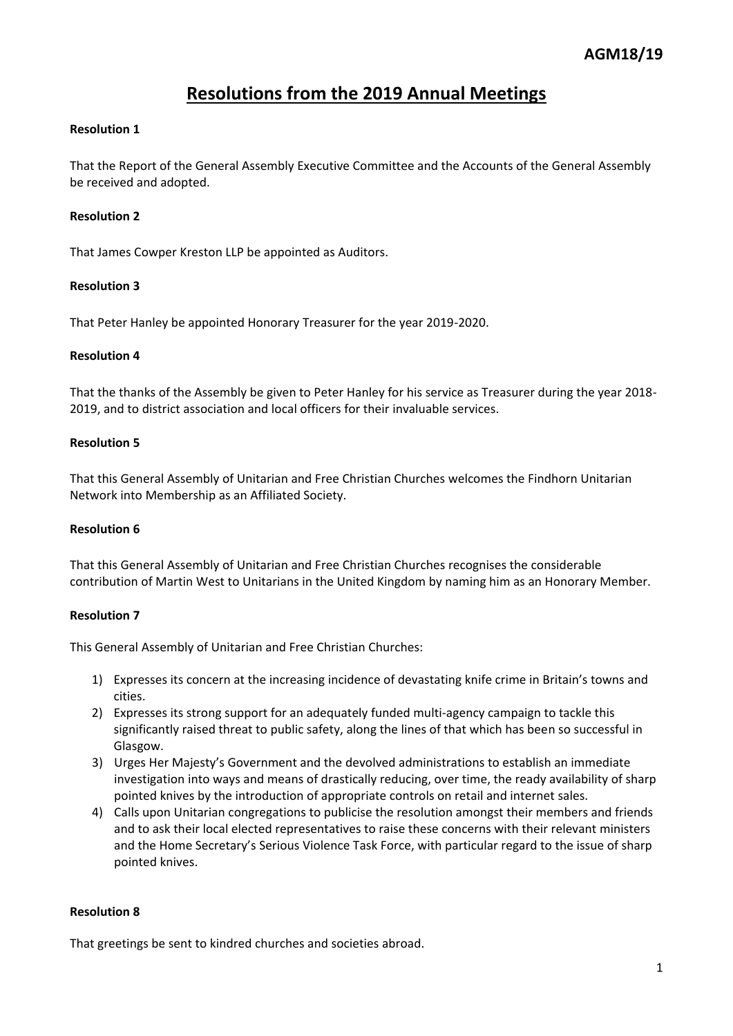# **Resolutions from the 2019 Annual Meetings**

## **Resolution 1**

That the Report of the General Assembly Executive Committee and the Accounts of the General Assembly be received and adopted.

## **Resolution 2**

That James Cowper Kreston LLP be appointed as Auditors.

#### **Resolution 3**

That Peter Hanley be appointed Honorary Treasurer for the year 2019-2020.

#### **Resolution 4**

That the thanks of the Assembly be given to Peter Hanley for his service as Treasurer during the year 2018- 2019, and to district association and local officers for their invaluable services.

#### **Resolution 5**

That this General Assembly of Unitarian and Free Christian Churches welcomes the Findhorn Unitarian Network into Membership as an Affiliated Society.

#### **Resolution 6**

That this General Assembly of Unitarian and Free Christian Churches recognises the considerable contribution of Martin West to Unitarians in the United Kingdom by naming him as an Honorary Member.

#### **Resolution 7**

This General Assembly of Unitarian and Free Christian Churches:

- 1) Expresses its concern at the increasing incidence of devastating knife crime in Britain's towns and cities.
- 2) Expresses its strong support for an adequately funded multi-agency campaign to tackle this significantly raised threat to public safety, along the lines of that which has been so successful in Glasgow.
- 3) Urges Her Majesty's Government and the devolved administrations to establish an immediate investigation into ways and means of drastically reducing, over time, the ready availability of sharp pointed knives by the introduction of appropriate controls on retail and internet sales.
- 4) Calls upon Unitarian congregations to publicise the resolution amongst their members and friends and to ask their local elected representatives to raise these concerns with their relevant ministers and the Home Secretary's Serious Violence Task Force, with particular regard to the issue of sharp pointed knives.

#### **Resolution 8**

That greetings be sent to kindred churches and societies abroad.